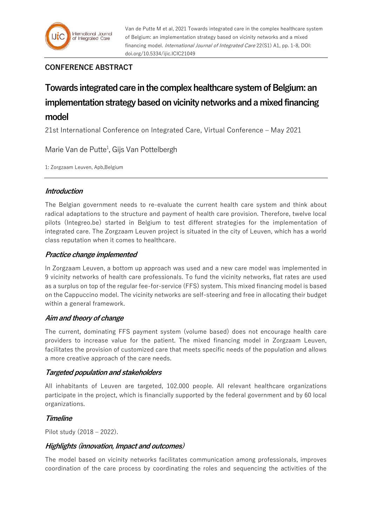# **CONFERENCE ABSTRACT**

# **Towards integrated care in the complex healthcare system of Belgium: an implementation strategy based on vicinity networks and a mixed financing model**

21st International Conference on Integrated Care, Virtual Conference – May 2021

Marie Van de Putte<sup>1</sup>, Gijs Van Pottelbergh

1: Zorgzaam Leuven, Apb,Belgium

## **Introduction**

The Belgian government needs to re-evaluate the current health care system and think about radical adaptations to the structure and payment of health care provision. Therefore, twelve local pilots (Integreo.be) started in Belgium to test different strategies for the implementation of integrated care. The Zorgzaam Leuven project is situated in the city of Leuven, which has a world class reputation when it comes to healthcare.

## **Practice change implemented**

In Zorgzaam Leuven, a bottom up approach was used and a new care model was implemented in 9 vicinity networks of health care professionals. To fund the vicinity networks, flat rates are used as a surplus on top of the regular fee-for-service (FFS) system. This mixed financing model is based on the Cappuccino model. The vicinity networks are self-steering and free in allocating their budget within a general framework.

## **Aim and theory of change**

The current, dominating FFS payment system (volume based) does not encourage health care providers to increase value for the patient. The mixed financing model in Zorgzaam Leuven, facilitates the provision of customized care that meets specific needs of the population and allows a more creative approach of the care needs.

## **Targeted population and stakeholders**

All inhabitants of Leuven are targeted, 102.000 people. All relevant healthcare organizations participate in the project, which is financially supported by the federal government and by 60 local organizations.

## **Timeline**

Pilot study (2018 – 2022).

## **Highlights (innovation, Impact and outcomes)**

The model based on vicinity networks facilitates communication among professionals, improves coordination of the care process by coordinating the roles and sequencing the activities of the